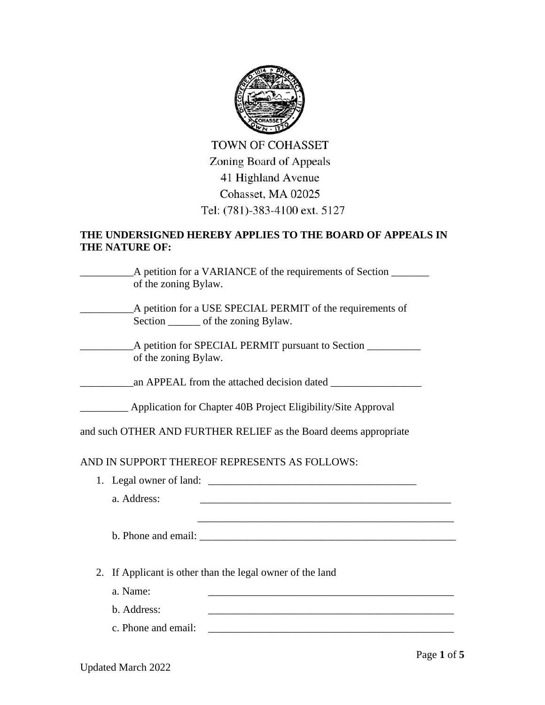

**TOWN OF COHASSET** Zoning Board of Appeals 41 Highland Avenue Cohasset, MA 02025 Tel: (781)-383-4100 ext. 5127

## **THE UNDERSIGNED HEREBY APPLIES TO THE BOARD OF APPEALS IN THE NATURE OF:**

\_\_\_\_\_\_\_\_\_\_A petition for a VARIANCE of the requirements of Section \_\_\_\_\_\_\_ of the zoning Bylaw. \_\_\_\_\_\_\_\_\_\_A petition for a USE SPECIAL PERMIT of the requirements of Section \_\_\_\_\_\_\_\_ of the zoning Bylaw. \_\_\_\_\_\_\_\_\_\_A petition for SPECIAL PERMIT pursuant to Section \_\_\_\_\_\_\_\_\_\_ of the zoning Bylaw.

\_\_\_\_\_\_\_\_\_\_an APPEAL from the attached decision dated \_\_\_\_\_\_\_\_\_\_\_\_\_\_\_\_\_

\_\_\_\_\_\_\_\_\_ Application for Chapter 40B Project Eligibility/Site Approval

and such OTHER AND FURTHER RELIEF as the Board deems appropriate

## AND IN SUPPORT THEREOF REPRESENTS AS FOLLOWS:

1. Legal owner of land:

a. Address:

b. Phone and email: \_\_\_\_\_\_\_\_\_\_\_\_\_\_\_\_\_\_\_\_\_\_\_\_\_\_\_\_\_\_\_\_\_\_\_\_\_\_\_\_\_\_\_\_\_\_\_\_

 $\mathcal{L}_\text{max} = \mathcal{L}_\text{max} = \mathcal{L}_\text{max} = \mathcal{L}_\text{max} = \mathcal{L}_\text{max} = \mathcal{L}_\text{max} = \mathcal{L}_\text{max} = \mathcal{L}_\text{max} = \mathcal{L}_\text{max} = \mathcal{L}_\text{max} = \mathcal{L}_\text{max} = \mathcal{L}_\text{max} = \mathcal{L}_\text{max} = \mathcal{L}_\text{max} = \mathcal{L}_\text{max} = \mathcal{L}_\text{max} = \mathcal{L}_\text{max} = \mathcal{L}_\text{max} = \mathcal{$ 

- 2. If Applicant is other than the legal owner of the land
	- a. Name: \_\_\_\_\_\_\_\_\_\_\_\_\_\_\_\_\_\_\_\_\_\_\_\_\_\_\_\_\_\_\_\_\_\_\_\_\_\_\_\_\_\_\_\_\_\_
	- b. Address:
	- $c.$  Phone and email:  $\qquad \qquad$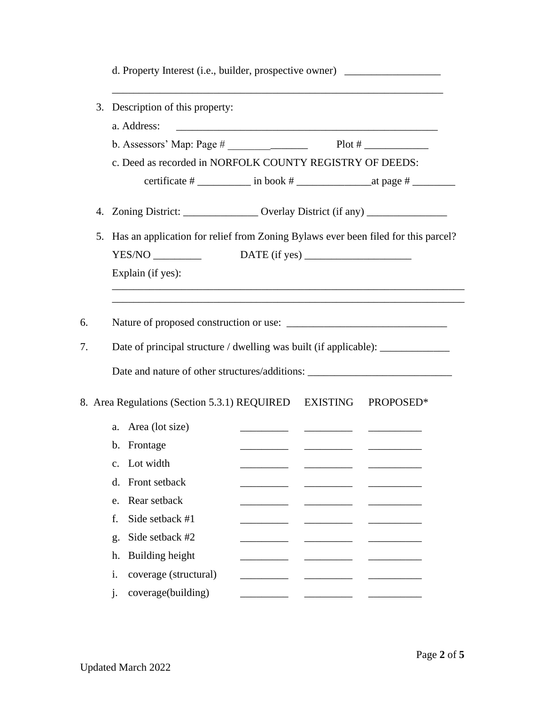|    |                                                                                  | d. Property Interest (i.e., builder, prospective owner) ________________________  |  |                                                                                                                        |           |  |  |  |
|----|----------------------------------------------------------------------------------|-----------------------------------------------------------------------------------|--|------------------------------------------------------------------------------------------------------------------------|-----------|--|--|--|
| 3. |                                                                                  | Description of this property:                                                     |  |                                                                                                                        |           |  |  |  |
|    |                                                                                  | a. Address:                                                                       |  |                                                                                                                        |           |  |  |  |
|    |                                                                                  |                                                                                   |  |                                                                                                                        |           |  |  |  |
|    |                                                                                  | c. Deed as recorded in NORFOLK COUNTY REGISTRY OF DEEDS:                          |  |                                                                                                                        |           |  |  |  |
|    |                                                                                  |                                                                                   |  |                                                                                                                        |           |  |  |  |
|    |                                                                                  | 4. Zoning District: _________________ Overlay District (if any) ________________  |  |                                                                                                                        |           |  |  |  |
| 5. |                                                                                  | Has an application for relief from Zoning Bylaws ever been filed for this parcel? |  |                                                                                                                        |           |  |  |  |
|    |                                                                                  | YES/NO                                                                            |  |                                                                                                                        |           |  |  |  |
|    |                                                                                  | Explain (if yes):                                                                 |  |                                                                                                                        |           |  |  |  |
|    |                                                                                  | ,我们也不能在这里的时候,我们也不能在这里的时候,我们也不能会在这里的时候,我们也不能会在这里的时候,我们也不能会在这里的时候,我们也不能会在这里的时候,我们也不 |  |                                                                                                                        |           |  |  |  |
| 6. |                                                                                  |                                                                                   |  |                                                                                                                        |           |  |  |  |
| 7. | Date of principal structure / dwelling was built (if applicable): ______________ |                                                                                   |  |                                                                                                                        |           |  |  |  |
|    |                                                                                  | Date and nature of other structures/additions: __________________________________ |  |                                                                                                                        |           |  |  |  |
|    |                                                                                  |                                                                                   |  |                                                                                                                        |           |  |  |  |
|    |                                                                                  | 8. Area Regulations (Section 5.3.1) REQUIRED EXISTING                             |  |                                                                                                                        | PROPOSED* |  |  |  |
|    |                                                                                  | a. Area (lot size)                                                                |  | <u> 1980 - John Stone, mars and de la partie de la partie de la partie de la partie de la partie de la partie de l</u> |           |  |  |  |
|    |                                                                                  | b. Frontage                                                                       |  |                                                                                                                        |           |  |  |  |
|    | $\mathbf{c}$ .                                                                   | Lot width                                                                         |  |                                                                                                                        |           |  |  |  |
|    | d.                                                                               | Front setback                                                                     |  |                                                                                                                        |           |  |  |  |
|    | e.                                                                               | Rear setback                                                                      |  |                                                                                                                        |           |  |  |  |
|    | f.                                                                               | Side setback #1                                                                   |  |                                                                                                                        |           |  |  |  |
|    | g.                                                                               | Side setback #2                                                                   |  |                                                                                                                        |           |  |  |  |
|    | h.                                                                               | Building height                                                                   |  |                                                                                                                        |           |  |  |  |
|    | i.                                                                               | coverage (structural)                                                             |  |                                                                                                                        |           |  |  |  |
|    | j.                                                                               | coverage(building)                                                                |  |                                                                                                                        |           |  |  |  |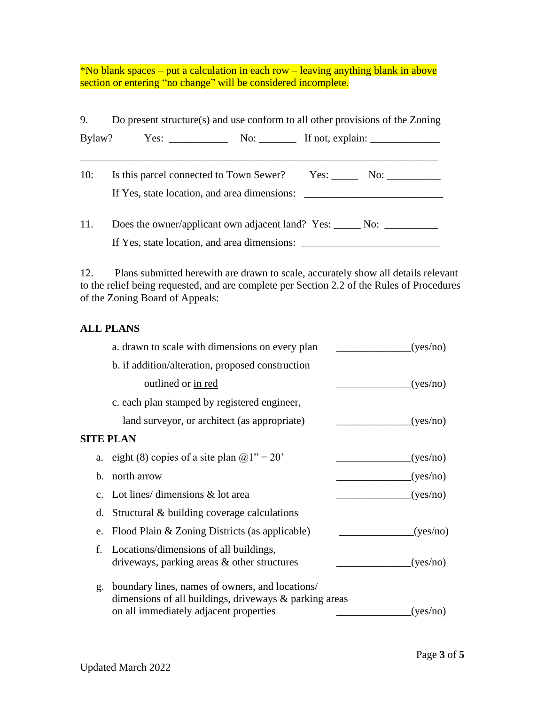\*No blank spaces – put a calculation in each row – leaving anything blank in above section or entering "no change" will be considered incomplete.

9. Do present structure(s) and use conform to all other provisions of the Zoning Bylaw? Yes: \_\_\_\_\_\_\_\_\_\_\_ No: \_\_\_\_\_\_\_ If not, explain: \_\_\_\_\_\_\_\_\_\_\_\_\_ \_\_\_\_\_\_\_\_\_\_\_\_\_\_\_\_\_\_\_\_\_\_\_\_\_\_\_\_\_\_\_\_\_\_\_\_\_\_\_\_\_\_\_\_\_\_\_\_\_\_\_\_\_\_\_\_\_\_\_\_\_\_\_\_\_\_\_ 10: Is this parcel connected to Town Sewer? Yes: No: No: If Yes, state location, and area dimensions: \_\_\_\_\_\_\_\_\_\_\_\_\_\_\_\_\_\_\_\_\_\_\_\_\_\_\_\_\_\_\_\_\_\_\_ 11. Does the owner/applicant own adjacent land? Yes: \_\_\_\_\_ No: \_\_\_\_\_\_\_\_\_\_\_ If Yes, state location, and area dimensions: \_\_\_\_\_\_\_\_\_\_\_\_\_\_\_\_\_\_\_\_\_\_\_\_\_\_\_\_\_\_\_\_\_\_\_

12. Plans submitted herewith are drawn to scale, accurately show all details relevant to the relief being requested, and are complete per Section 2.2 of the Rules of Procedures of the Zoning Board of Appeals:

#### **ALL PLANS**

|             | a. drawn to scale with dimensions on every plan                                                                                                     | (yes/no) |
|-------------|-----------------------------------------------------------------------------------------------------------------------------------------------------|----------|
|             | b. if addition/alteration, proposed construction                                                                                                    |          |
|             | outlined or in red                                                                                                                                  | (yes/no) |
|             | c. each plan stamped by registered engineer,                                                                                                        |          |
|             | land surveyor, or architect (as appropriate)                                                                                                        | (yes/no) |
|             | <b>SITE PLAN</b>                                                                                                                                    |          |
| a.          | eight (8) copies of a site plan $@1" = 20"$                                                                                                         | (yes/no) |
| b.          | north arrow                                                                                                                                         | (yes/no) |
| $C_{\star}$ | Lot lines/ dimensions $\&$ lot area                                                                                                                 | (yes/no) |
| d.          | Structural & building coverage calculations                                                                                                         |          |
| e.          | Flood Plain & Zoning Districts (as applicable)                                                                                                      | (yes/no) |
| f.          | Locations/dimensions of all buildings,<br>driveways, parking areas & other structures                                                               | (yes/no) |
| g.          | boundary lines, names of owners, and locations/<br>dimensions of all buildings, driveways & parking areas<br>on all immediately adjacent properties | (yes/no) |
|             |                                                                                                                                                     |          |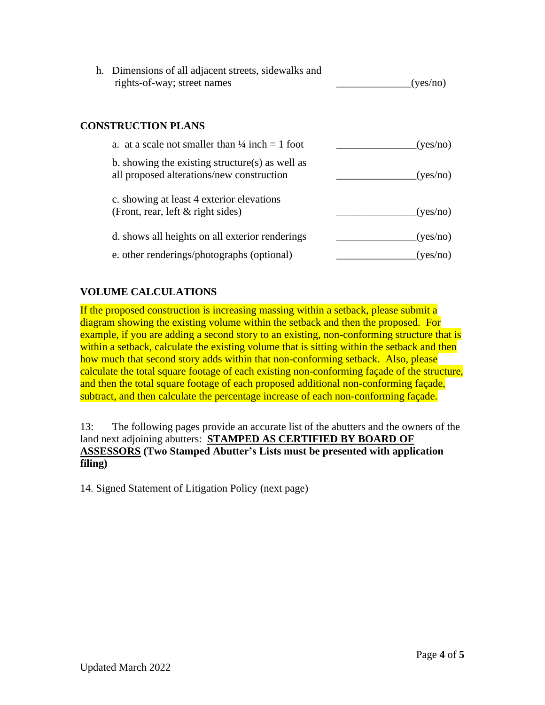| h. Dimensions of all adjacent streets, sidewalks and |          |
|------------------------------------------------------|----------|
| rights-of-way; street names                          | (yes/no) |

## **CONSTRUCTION PLANS**

| a. at a scale not smaller than $\frac{1}{4}$ inch = 1 foot                                   | (yes/no) |
|----------------------------------------------------------------------------------------------|----------|
| b. showing the existing structure(s) as well as<br>all proposed alterations/new construction | (yes/no) |
| c. showing at least 4 exterior elevations<br>(Front, rear, left $\&$ right sides)            | (yes/no) |
| d. shows all heights on all exterior renderings                                              | (yes/no) |
| e. other renderings/photographs (optional)                                                   | (ves/no) |

## **VOLUME CALCULATIONS**

If the proposed construction is increasing massing within a setback, please submit a diagram showing the existing volume within the setback and then the proposed. For example, if you are adding a second story to an existing, non-conforming structure that is within a setback, calculate the existing volume that is sitting within the setback and then how much that second story adds within that non-conforming setback. Also, please calculate the total square footage of each existing non-conforming façade of the structure, and then the total square footage of each proposed additional non-conforming façade, subtract, and then calculate the percentage increase of each non-conforming façade.

13: The following pages provide an accurate list of the abutters and the owners of the land next adjoining abutters: **STAMPED AS CERTIFIED BY BOARD OF ASSESSORS (Two Stamped Abutter's Lists must be presented with application filing)**

14. Signed Statement of Litigation Policy (next page)